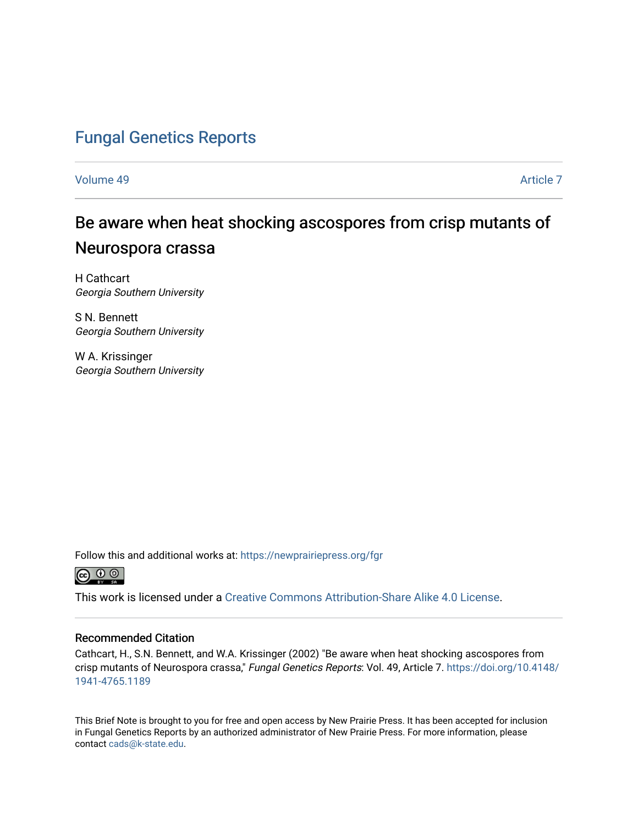# [Fungal Genetics Reports](https://newprairiepress.org/fgr)

[Volume 49](https://newprairiepress.org/fgr/vol49) [Article 7](https://newprairiepress.org/fgr/vol49/iss1/7) 

# Be aware when heat shocking ascospores from crisp mutants of Neurospora crassa

H Cathcart Georgia Southern University

S N. Bennett Georgia Southern University

W A. Krissinger Georgia Southern University

Follow this and additional works at: [https://newprairiepress.org/fgr](https://newprairiepress.org/fgr?utm_source=newprairiepress.org%2Ffgr%2Fvol49%2Fiss1%2F7&utm_medium=PDF&utm_campaign=PDFCoverPages) 



This work is licensed under a [Creative Commons Attribution-Share Alike 4.0 License.](https://creativecommons.org/licenses/by-sa/4.0/)

### Recommended Citation

Cathcart, H., S.N. Bennett, and W.A. Krissinger (2002) "Be aware when heat shocking ascospores from crisp mutants of Neurospora crassa," Fungal Genetics Reports: Vol. 49, Article 7. [https://doi.org/10.4148/](https://doi.org/10.4148/1941-4765.1189) [1941-4765.1189](https://doi.org/10.4148/1941-4765.1189) 

This Brief Note is brought to you for free and open access by New Prairie Press. It has been accepted for inclusion in Fungal Genetics Reports by an authorized administrator of New Prairie Press. For more information, please contact [cads@k-state.edu](mailto:cads@k-state.edu).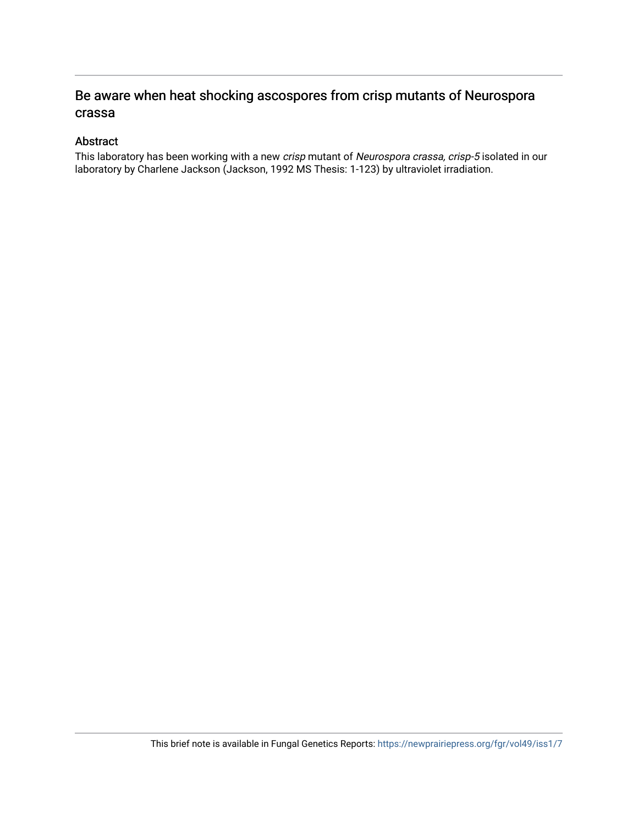## Be aware when heat shocking ascospores from crisp mutants of Neurospora crassa

## Abstract

This laboratory has been working with a new crisp mutant of Neurospora crassa, crisp-5 isolated in our laboratory by Charlene Jackson (Jackson, 1992 MS Thesis: 1-123) by ultraviolet irradiation.